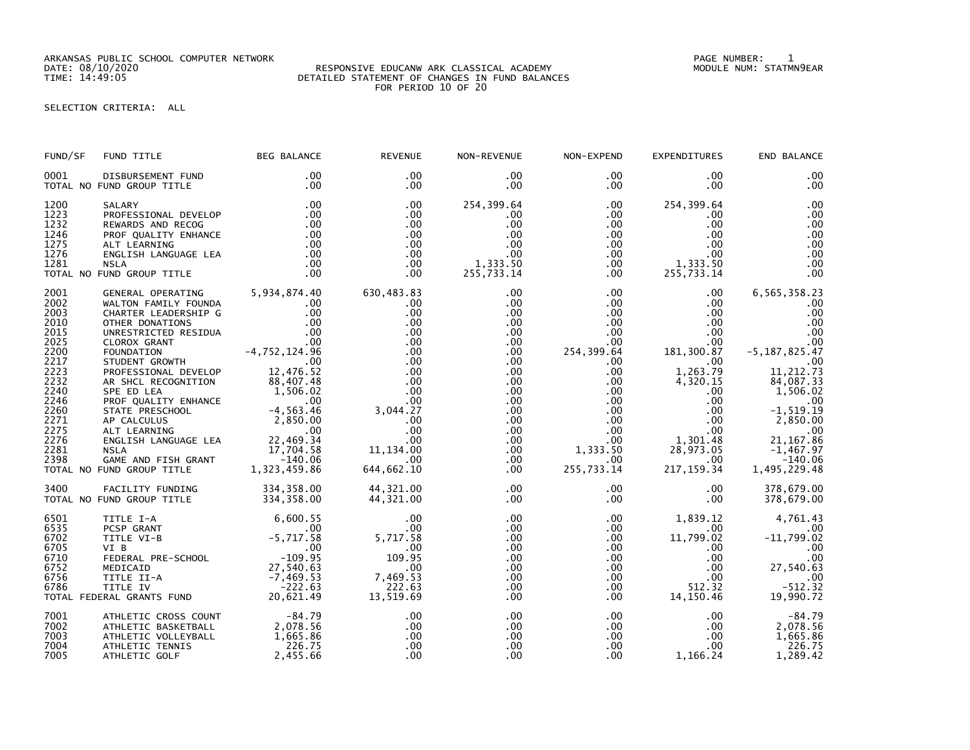ARKANSAS PUBLIC SCHOOL COMPUTER NETWORK PAGE NUMBER: 1

## DATE: 08/10/2020 RESPONSIVE EDUCANW ARK CLASSICAL ACADEMY MODULE NUM: STATMN9EAR TIME: 14:49:05 DETAILED STATEMENT OF CHANGES IN FUND BALANCES FOR PERIOD 10 OF 20

## SELECTION CRITERIA: ALL

| FUND/SF                                                                                                                                      | FUND TITLE                                                                                                                                                                                                                                                                                                                                                                                                                 | <b>BEG BALANCE</b>                          | <b>REVENUE</b>                                                                                                                                                              | NON-REVENUE                                                                                                                                                                                 | NON-EXPEND                                                                                                                                                                                         | <b>EXPENDITURES</b>                                                                                                                                                                                                         | END BALANCE                                                                                                                                                                                                    |
|----------------------------------------------------------------------------------------------------------------------------------------------|----------------------------------------------------------------------------------------------------------------------------------------------------------------------------------------------------------------------------------------------------------------------------------------------------------------------------------------------------------------------------------------------------------------------------|---------------------------------------------|-----------------------------------------------------------------------------------------------------------------------------------------------------------------------------|---------------------------------------------------------------------------------------------------------------------------------------------------------------------------------------------|----------------------------------------------------------------------------------------------------------------------------------------------------------------------------------------------------|-----------------------------------------------------------------------------------------------------------------------------------------------------------------------------------------------------------------------------|----------------------------------------------------------------------------------------------------------------------------------------------------------------------------------------------------------------|
| 0001                                                                                                                                         | DISBURSEMENT FUND<br>TOTAL NO FUND GROUP TITLE                                                                                                                                                                                                                                                                                                                                                                             | .00<br>.00                                  | $.00 \,$<br>$.00 \,$                                                                                                                                                        | $.00 \,$<br>$.00 \,$                                                                                                                                                                        | $.00 \,$<br>$.00 \,$                                                                                                                                                                               | $.00 \,$<br>$.00 \,$                                                                                                                                                                                                        | .00<br>.00                                                                                                                                                                                                     |
| 1200<br>1223<br>1232<br>1246<br>1275<br>1276<br>1281                                                                                         | SALARY<br>SALARY .00<br>PROFESSIONAL DEVELOP .00<br>REWARDS AND RECOG .00<br>PROF QUALITY ENHANCE .00<br>ALT LEARNING .00<br>ALT LEARNING .00<br>ENGLISH LANGUAGE LEA .00<br>NSLA .00<br>NSLA .00<br>COND GROUP TITLE .00<br>TOTAL NO FUND GROUP TITLE                                                                                                                                                                     | .00                                         | .00<br>.00<br>.00<br>.00<br>$.00 \,$<br>.00<br>.00<br>.00                                                                                                                   | 254,399.64<br>$.00 \,$<br>.00<br>.00<br>.00<br>$.00 \,$<br>1,333.50<br>255,733.14                                                                                                           | $.00 \,$<br>$.00 \,$<br>$.00\,$<br>.00<br>.00<br>.00<br>$.00\,$<br>$.00 \,$                                                                                                                        | 254,399.64<br>$.00 \,$<br>$.00 \,$<br>$.00 \,$<br>$.00 \,$<br>.00<br>1, 333.50<br>255, 733.14                                                                                                                               | .00<br>.00<br>.00<br>00<br>.00<br>.00<br>.00<br>.00                                                                                                                                                            |
| 2001<br>2002<br>2003<br>2010<br>2015<br>2025<br>2200<br>2217<br>2223<br>2232<br>2240<br>2246<br>2260<br>2271<br>2275<br>2276<br>2281<br>2398 | GENERAL OPERATING 5,934,874.40<br>WALTON FAMILY FOUNDA<br>CHARTER LEADERSHIP G<br>PROFESSIONAL DEVELOP<br>AR SHCL RECOGNITION<br>AR SHOL REGIGNITION<br>SPE ED LEA<br>PROF QUALITY ENHANCE<br>SPE DEA<br>SPE QUALITY ENHANCE<br>STATE PRESCHOOL<br>STATE PRESCHOOL<br>-4, 563.46<br>AP CALCULUS<br>2, 850.00<br>ALT LEARNING<br>ENGLISH LANGUAGE LEA<br>22, 469.34<br>NSLA<br>I7,704.58<br>GA<br>TOTAL NO FUND GROUP TITLE | .00<br>.00<br>.00<br>12,476.52<br>88,407.48 | 630,483.83<br>.00<br>.00<br>.00<br>.00<br>.00<br>.00<br>.00<br>.00<br>.00<br>.00<br>.00.<br>00.<br>3, 044 . 27<br>.00.<br>.00.<br>11 , 134 . 00<br>.00<br>.00<br>644,662.10 | $.00 \,$<br>$.00 \,$<br>.00<br>$.00 \,$<br>.00<br>.00<br>.00<br>.00<br>.00 <sub>1</sub><br>.00<br>$.00 \,$<br>$.00 \,$<br>$.00 \,$<br>.00<br>.00<br>$.00 \,$<br>.00<br>$.00 \,$<br>$.00 \,$ | $.00\,$<br>$.00\,$<br>.00<br>.00<br>$.00\,$<br>.00<br>254,399.64<br>$.00\,$<br>.00 <sub>1</sub><br>$.00\,$<br>$.00\,$<br>.00<br>.00<br>.00<br>.00<br>$.00\,$<br>1,333.50<br>$.00 \,$<br>255,733.14 | $.00 \,$<br>$.00 \,$<br>$.00 \,$<br>$.00 \,$<br>$.00\,$<br>$00$<br>181,300.87<br>$.00 \,$<br>1,263.79<br>4,320.15<br>$.00 \,$<br>.00<br>.00<br>.00<br>.00<br>$1,301.48$<br>28.973.05<br>28,973.05<br>$.00\,$<br>217, 159.34 | 6,565,358.23<br>.00<br>.00<br>.00<br>.00<br>.00<br>$-5, 187, 825.47$<br>.00<br>11, 212.73<br>84,087.33<br>1,506.02<br>.00<br>$-1, 519.19$<br>2,850.00<br>21,167.86<br>$-1,467.97$<br>$-140.06$<br>1,495,229.48 |
| 3400                                                                                                                                         | FACILITY FUNDING 334,358.00<br>FUND GROUP TITLE 334,358.00<br>TOTAL NO FUND GROUP TITLE                                                                                                                                                                                                                                                                                                                                    |                                             | 44,321.00<br>44,321.00                                                                                                                                                      | .00<br>$.00 \,$                                                                                                                                                                             | $.00\,$<br>.00                                                                                                                                                                                     | $.00 \,$<br>$.00 \,$                                                                                                                                                                                                        | 378,679.00<br>378,679.00                                                                                                                                                                                       |
|                                                                                                                                              | 6,600.55<br>6535 PCSP GRANT 00<br>6702 TITLE VI-B -5,717.58<br>6705 VI B -5,717.58<br>6705 VI B -00<br>6752 MEDICAID -109.95<br>6756 TITLE II-A -7,469.53<br>6786 TITLE IV -222.63<br>TOTAL FEDERAL GRANTS FUND 20,621.49                                                                                                                                                                                                  |                                             | .00<br>.00<br>5,717.58<br>$\begin{array}{c} 00 \\ 109.95 \end{array}$<br>.00<br>7,469.53<br>$^{'}222.63$<br>13,519.69                                                       | $.00 \,$<br>.00<br>$.00 \,$<br>.00<br>.00<br>.00<br>.00<br>.00<br>.00                                                                                                                       | $.00\,$<br>$.00\,$<br>$.00\,$<br>.00<br>$.00\,$<br>.00<br>$.00\,$<br>$.00\,$<br>.00                                                                                                                | 1,839.12<br>$.00 \,$<br>11,799.02<br>$.00 \,$<br>$.00 \,$<br>.00<br>$.00 \,$<br>512.32<br>14,150.46                                                                                                                         | 4,761.43<br>.00<br>$-11,799.02$<br>.00<br>.00<br>27,540.63<br>$-512.32$<br>19,990.72                                                                                                                           |
| 7001<br>7002<br>7003<br>7004<br>7005                                                                                                         | ATHLETIC CROSS COUNT -84.79<br>ATHLETIC BASKETBALL 2,078.56<br>ATHLETIC VOLLEYBALL<br>ATHLETIC TENNIS<br>ATHLETIC GOLF                                                                                                                                                                                                                                                                                                     | 1,665.86<br>226.75<br>2,455.66              | .00<br>.00<br>.00<br>.00<br>.00                                                                                                                                             | .00<br>.00<br>.00<br>.00<br>.00                                                                                                                                                             | $.00\,$<br>.00<br>$.00 \,$                                                                                                                                                                         | $.00 \,$<br>.00<br>$\frac{00}{100}$<br>.00<br>$.00 \,$<br>1,166.24                                                                                                                                                          | $-84.79$<br>2,078.56<br>1,665.86<br>226.75<br>1,289.42                                                                                                                                                         |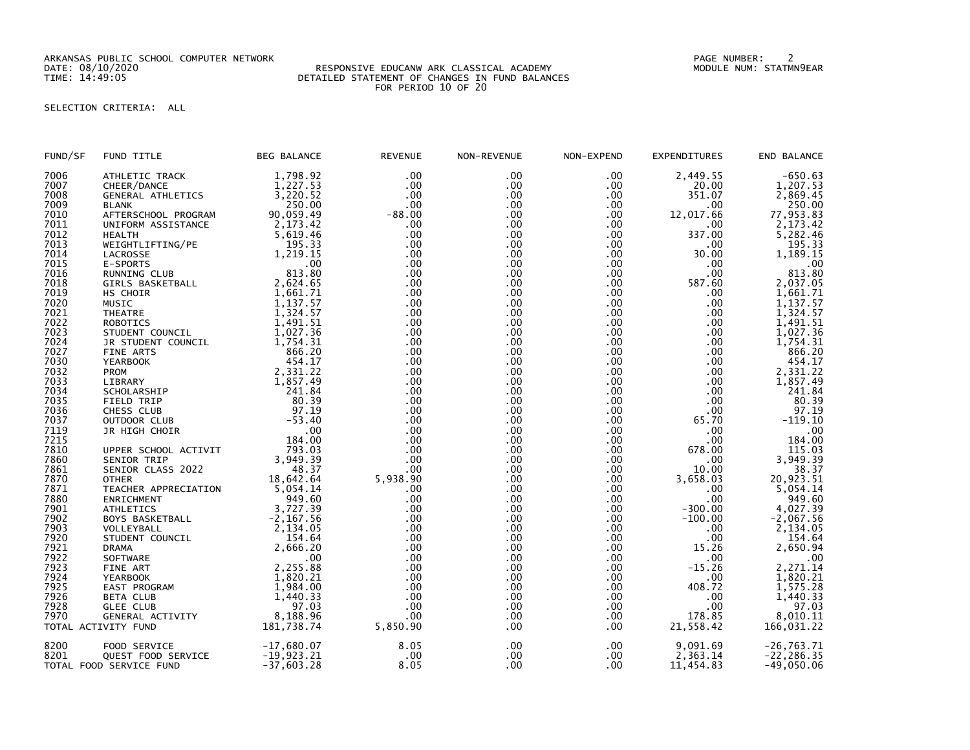ARKANSAS PUBLIC SCHOOL COMPUTER NETWORK PAGE NUMBER: 2

## DATE: 08/10/2020 RESPONSIVE EDUCANW ARK CLASSICAL ACADEMY MODULE NUM: STATMN9EAR TIME: 14:49:05 DETAILED STATEMENT OF CHANGES IN FUND BALANCES FOR PERIOD 10 OF 20

## SELECTION CRITERIA: ALL

| FUND/SF      | FUND TITLE               | <b>BEG BALANCE</b> | <b>REVENUE</b> | NON-REVENUE | NON-EXPEND | <b>EXPENDITURES</b> | END BALANCE   |
|--------------|--------------------------|--------------------|----------------|-------------|------------|---------------------|---------------|
| 7006         | ATHLETIC TRACK           | 1,798.92           | .00            | .00         | .00        | 2,449.55            | $-650.63$     |
| 7007         | CHEER/DANCE              | 1,227.53           | .00            | $.00 \,$    | $.00 \,$   | 20.00               | 1,207.53      |
| 7008         | <b>GENERAL ATHLETICS</b> | 3,220.52           | .00            | .00         | $.00 \,$   | 351.07              | 2,869.45      |
| 7009         | <b>BLANK</b>             | 250.00             | .00.           | $.00 \,$    | .00        | .00                 | 250.00        |
| 7010         | AFTERSCHOOL PROGRAM      | 90,059.49          | $-88.00$       | $.00 \,$    | $.00 \,$   | 12,017.66           | 77,953.83     |
| 7011         | UNIFORM ASSISTANCE       | 2,173.42           | .00.           | .00         | .00        | $.00 \,$            | 2,173.42      |
| 7012         | <b>HEALTH</b>            | 5,619.46           | .00            | .00         | $.00 \,$   | 337.00              | 5,282.46      |
| 7013         | WEIGHTLIFTING/PE         | 195.33             | .00            | .00         | .00        | .00                 | 195.33        |
| 7014         |                          | 1,219.15           | .00            | .00         | .00        | 30.00               | 1,189.15      |
| 7015         | LACROSSE                 |                    |                |             |            |                     |               |
|              | E-SPORTS                 | .00                | .00            | .00         | $.00 \,$   | .00                 | .00           |
| 7016         | RUNNING CLUB             | 813.80             | .00.           | .00.        | .00        | $.00 \,$            | 813.80        |
| 7018         | GIRLS BASKETBALL         | 2,624.65           | .00            | .00         | $.00 \,$   | 587.60              | 2,037.05      |
| 7019         | HS CHOIR                 | 1,661.71           | .00            | .00         | .00        | $.00 \,$            | 1,661.71      |
| 7020         | MUSIC                    | 1,137.57           | .00.           | .00         | .00        | $.00 \times$        | 1,137.57      |
| 7021         | <b>THEATRE</b>           | 1,324.57           | .00            | .00         | .00        | .00 <sub>1</sub>    | 1,324.57      |
| 7022         | ROBOTICS                 | 1,491.51           | .00            | $.00 \,$    | $.00 \,$   | .00                 | 1,491.51      |
| 7023         | STUDENT COUNCIL          | 1,027.36           | .00            | .00         | .00        | $.00 \,$            | 1,027.36      |
| 7024         | JR STUDENT COUNCIL       | 1,754.31           | .00            | .00         | .00        | $.00 \,$            | 1,754.31      |
| 7027         | FINE ARTS                | 866.20             | .00            | .00         | $.00 \,$   | $.00 \,$            | 866.20        |
| 7030         | <b>YEARBOOK</b>          | 454.17             | .00            | .00         | $.00 \,$   | $.00 \,$            | 454.17        |
| 7032         | <b>PROM</b>              | 2,331.22           | .00            | .00         | .00        | $.00 \times$        | 2,331.22      |
| 7033         | LIBRARY                  | 1,857.49           | .00            | .00         | $.00 \,$   | .00                 | 1,857.49      |
| 7034         | SCHOLARSHIP              | 241.84             | .00            | .00.        | .00        | $.00 \,$            | 241.84        |
| 7035         | FIELD TRIP               | 80.39              | .00            | .00         | .00        | .00                 | 80.39         |
| 7036         | CHESS CLUB               | 97.19              | .00            | .00         | .00        | $.00 \,$            | 97.19         |
|              | OUTDOOR CLUB             | $-53.40$           | .00            | .00         | $.00 \,$   | 65.70               | $-119.10$     |
| 7037<br>7119 | JR HIGH CHOIR            | .00                | .00            | .00         | $.00 \,$   | .00                 | .00           |
| 7215         |                          | 184.00             | .00            | $.00 \,$    | .00        | .00                 | 184.00        |
| 7810         |                          | 793.03             | .00            | .00         | .00        | 678.00              | 115.03        |
| 7860         | UPPER SCHOOL ACTIVIT     | 3,949.39           | .00            | .00         |            |                     |               |
|              | SENIOR TRIP              |                    |                |             | .00        | .00                 | 3,949.39      |
| 7861         | SENIOR CLASS 2022        | 48.37              | .00            | .00         | .00        | 10.00               | 38.37         |
| 7870         | <b>OTHER</b>             | 18,642.64          | 5,938.90       | .00         | .00        | 3,658.03            | 20,923.51     |
| 7871         | TEACHER APPRECIATION     | 5,054.14           | .00            | .00         | .00        | .00                 | 5,054.14      |
| 7880         | ENRICHMENT               | 949.60             | .00            | $.00 \,$    | .00        | .00                 | 949.60        |
| 7901         | <b>ATHLETICS</b>         | 3,727.39           | .00            | .00.        | .00        | $-300.00$           | 4,027.39      |
| 7902         | BOYS BASKETBALL          | $-2, 167.56$       | .00            | .00         | $.00 \,$   | $-100.00$           | $-2,067.56$   |
| 7903         | VOLLEYBALL               | 2,134.05           | .00            | .00.        | .00        | $.00 \,$            | 2,134.05      |
| 7920         | STUDENT COUNCIL          | 154.64             | .00            | .00         | $.00 \,$   | .00                 | 154.64        |
| 7921         | <b>DRAMA</b>             | 2,666.20           | .00            | .00         | $.00 \,$   | 15.26               | 2,650.94      |
| 7922         | SOFTWARE                 | .00                | .00            | $.00 \,$    | $.00 \,$   | .00                 | .00           |
| 7923         | FINE ART                 | 2,255.88           | .00            | .00         | .00        | $-15.26$            | 2,271.14      |
| 7924         | <b>YEARBOOK</b>          | 1,820.21           | .00.           | .00         | .00        | $.00 \,$            | 1,820.21      |
| 7925         | EAST PROGRAM             | 1,984.00           | .00            | $.00 \,$    | .00        | 408.72              | 1,575.28      |
| 7926         | BETA CLUB                | 1,440.33           | .00.           | .00         | $.00 \,$   | .00                 | 1,440.33      |
| 7928         | <b>GLEE CLUB</b>         | 97.03              | .00            | .00         | .00        | .00                 | 97.03         |
| 7970         | GENERAL ACTIVITY         | 8,188.96           | .00.           | $.00 \,$    | $.00 \,$   | 178.85              | 8,010.11      |
|              | TOTAL ACTIVITY FUND      | 181,738.74         | 5,850.90       | .00.        | .00        | 21,558.42           | 166,031.22    |
|              |                          |                    |                |             |            |                     |               |
| 8200         | FOOD SERVICE             | $-17,680.07$       | 8.05           | $.00 \,$    | .00        | 9,091.69            | $-26,763.71$  |
| 8201         | QUEST FOOD SERVICE       | $-19,923.21$       | .00            | .00         | $.00 \,$   | 2,363.14            | $-22, 286.35$ |
|              | TOTAL FOOD SERVICE FUND  | $-37,603.28$       | 8.05           | .00         | .00        | 11,454.83           | $-49,050.06$  |